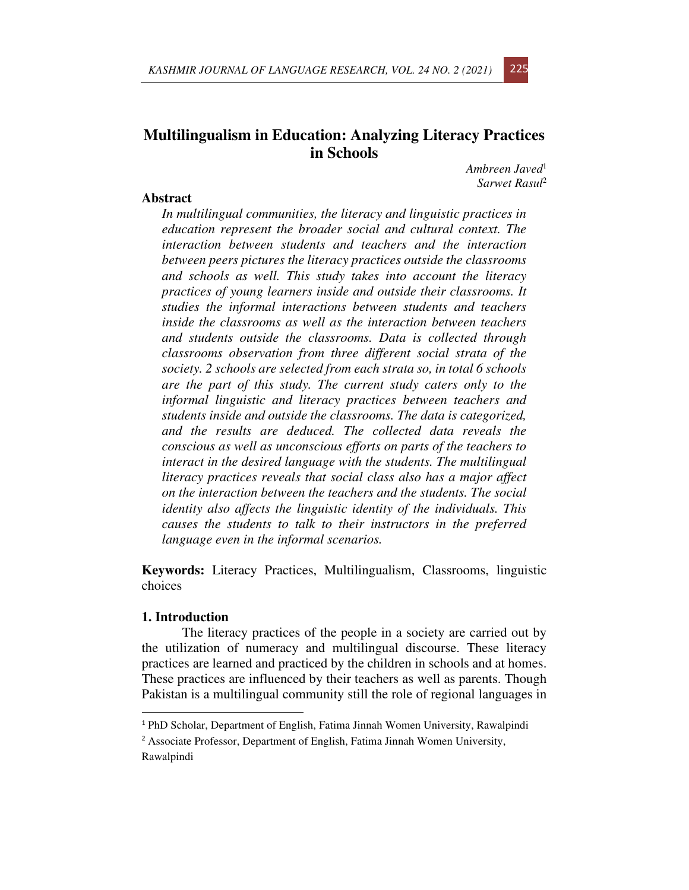# **Multilingualism in Education: Analyzing Literacy Practices in Schools**

*Ambreen Javed*<sup>1</sup> *Sarwet Rasul*<sup>2</sup>

### **Abstract**

*In multilingual communities, the literacy and linguistic practices in education represent the broader social and cultural context. The interaction between students and teachers and the interaction between peers pictures the literacy practices outside the classrooms and schools as well. This study takes into account the literacy practices of young learners inside and outside their classrooms. It studies the informal interactions between students and teachers inside the classrooms as well as the interaction between teachers and students outside the classrooms. Data is collected through classrooms observation from three different social strata of the society. 2 schools are selected from each strata so, in total 6 schools are the part of this study. The current study caters only to the informal linguistic and literacy practices between teachers and students inside and outside the classrooms. The data is categorized, and the results are deduced. The collected data reveals the conscious as well as unconscious efforts on parts of the teachers to interact in the desired language with the students. The multilingual literacy practices reveals that social class also has a major affect on the interaction between the teachers and the students. The social identity also affects the linguistic identity of the individuals. This causes the students to talk to their instructors in the preferred language even in the informal scenarios.* 

**Keywords:** Literacy Practices, Multilingualism, Classrooms, linguistic choices

#### **1. Introduction**

The literacy practices of the people in a society are carried out by the utilization of numeracy and multilingual discourse. These literacy practices are learned and practiced by the children in schools and at homes. These practices are influenced by their teachers as well as parents. Though Pakistan is a multilingual community still the role of regional languages in



<sup>1</sup> PhD Scholar, Department of English, Fatima Jinnah Women University, Rawalpindi

<sup>2</sup> Associate Professor, Department of English, Fatima Jinnah Women University, Rawalpindi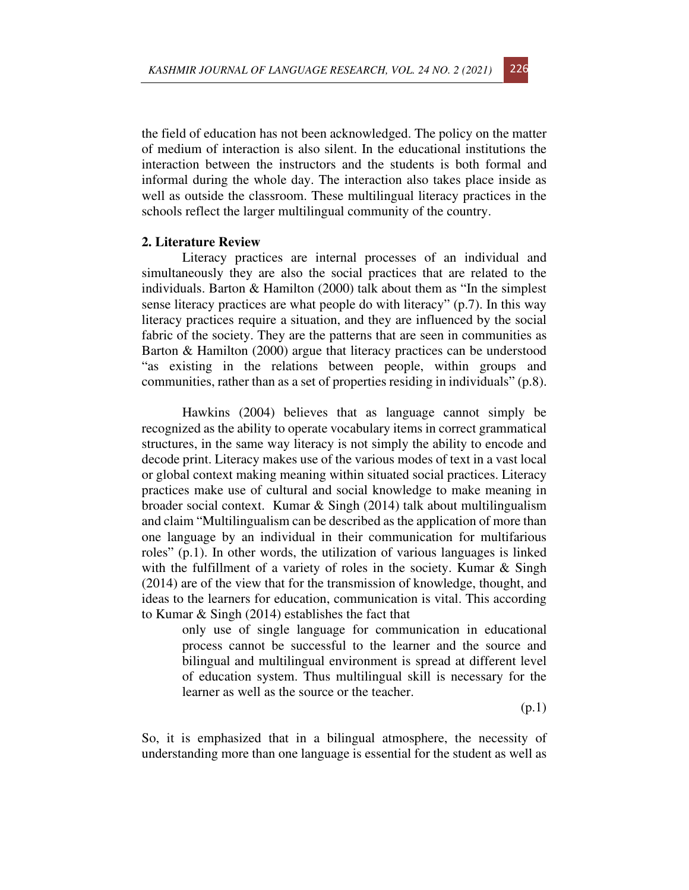the field of education has not been acknowledged. The policy on the matter of medium of interaction is also silent. In the educational institutions the interaction between the instructors and the students is both formal and informal during the whole day. The interaction also takes place inside as well as outside the classroom. These multilingual literacy practices in the schools reflect the larger multilingual community of the country.

### **2. Literature Review**

Literacy practices are internal processes of an individual and simultaneously they are also the social practices that are related to the individuals. Barton & Hamilton (2000) talk about them as "In the simplest sense literacy practices are what people do with literacy" (p.7). In this way literacy practices require a situation, and they are influenced by the social fabric of the society. They are the patterns that are seen in communities as Barton & Hamilton (2000) argue that literacy practices can be understood "as existing in the relations between people, within groups and communities, rather than as a set of properties residing in individuals" (p.8).

Hawkins (2004) believes that as language cannot simply be recognized as the ability to operate vocabulary items in correct grammatical structures, in the same way literacy is not simply the ability to encode and decode print. Literacy makes use of the various modes of text in a vast local or global context making meaning within situated social practices. Literacy practices make use of cultural and social knowledge to make meaning in broader social context. Kumar & Singh (2014) talk about multilingualism and claim "Multilingualism can be described as the application of more than one language by an individual in their communication for multifarious roles" (p.1). In other words, the utilization of various languages is linked with the fulfillment of a variety of roles in the society. Kumar & Singh (2014) are of the view that for the transmission of knowledge, thought, and ideas to the learners for education, communication is vital. This according to Kumar & Singh (2014) establishes the fact that

only use of single language for communication in educational process cannot be successful to the learner and the source and bilingual and multilingual environment is spread at different level of education system. Thus multilingual skill is necessary for the learner as well as the source or the teacher.

(p.1)

So, it is emphasized that in a bilingual atmosphere, the necessity of understanding more than one language is essential for the student as well as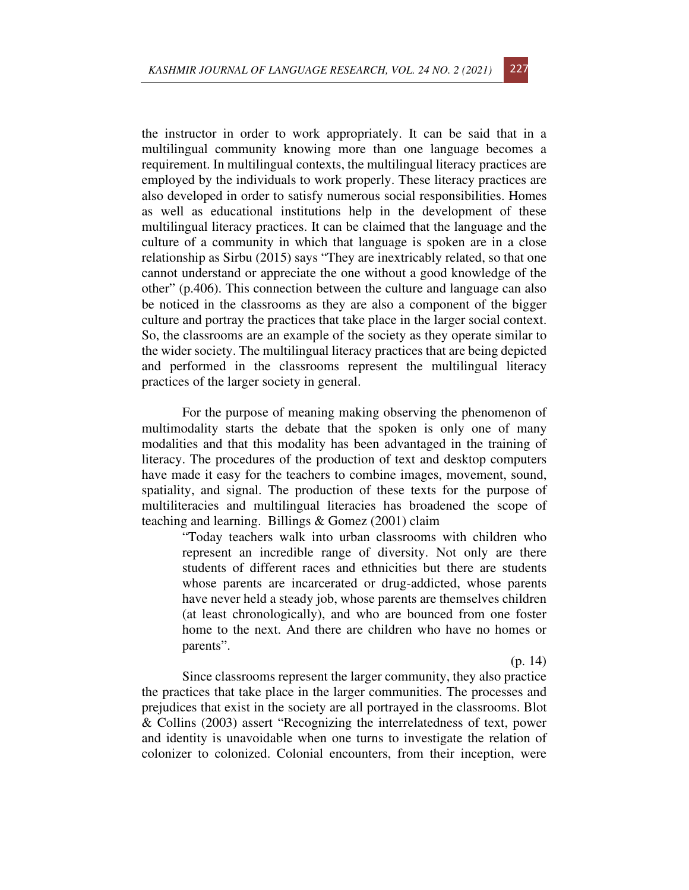the instructor in order to work appropriately. It can be said that in a multilingual community knowing more than one language becomes a requirement. In multilingual contexts, the multilingual literacy practices are employed by the individuals to work properly. These literacy practices are also developed in order to satisfy numerous social responsibilities. Homes as well as educational institutions help in the development of these multilingual literacy practices. It can be claimed that the language and the culture of a community in which that language is spoken are in a close relationship as Sirbu (2015) says "They are inextricably related, so that one cannot understand or appreciate the one without a good knowledge of the other" (p.406). This connection between the culture and language can also be noticed in the classrooms as they are also a component of the bigger culture and portray the practices that take place in the larger social context. So, the classrooms are an example of the society as they operate similar to the wider society. The multilingual literacy practices that are being depicted and performed in the classrooms represent the multilingual literacy practices of the larger society in general.

For the purpose of meaning making observing the phenomenon of multimodality starts the debate that the spoken is only one of many modalities and that this modality has been advantaged in the training of literacy. The procedures of the production of text and desktop computers have made it easy for the teachers to combine images, movement, sound, spatiality, and signal. The production of these texts for the purpose of multiliteracies and multilingual literacies has broadened the scope of teaching and learning. Billings & Gomez (2001) claim

"Today teachers walk into urban classrooms with children who represent an incredible range of diversity. Not only are there students of different races and ethnicities but there are students whose parents are incarcerated or drug-addicted, whose parents have never held a steady job, whose parents are themselves children (at least chronologically), and who are bounced from one foster home to the next. And there are children who have no homes or parents".

(p. 14)

Since classrooms represent the larger community, they also practice the practices that take place in the larger communities. The processes and prejudices that exist in the society are all portrayed in the classrooms. Blot & Collins (2003) assert "Recognizing the interrelatedness of text, power and identity is unavoidable when one turns to investigate the relation of colonizer to colonized. Colonial encounters, from their inception, were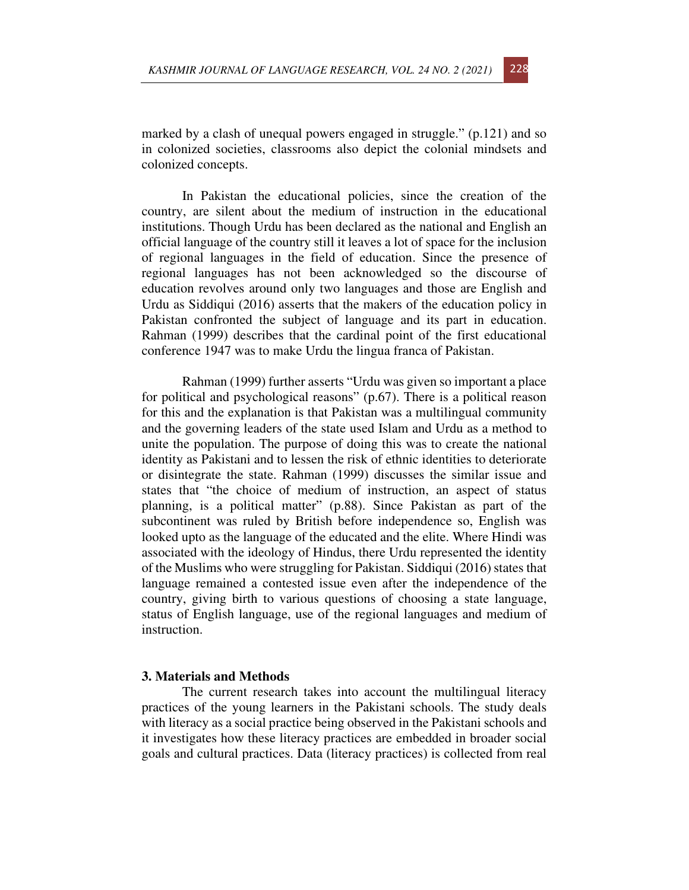marked by a clash of unequal powers engaged in struggle." (p.121) and so in colonized societies, classrooms also depict the colonial mindsets and colonized concepts.

In Pakistan the educational policies, since the creation of the country, are silent about the medium of instruction in the educational institutions. Though Urdu has been declared as the national and English an official language of the country still it leaves a lot of space for the inclusion of regional languages in the field of education. Since the presence of regional languages has not been acknowledged so the discourse of education revolves around only two languages and those are English and Urdu as Siddiqui (2016) asserts that the makers of the education policy in Pakistan confronted the subject of language and its part in education. Rahman (1999) describes that the cardinal point of the first educational conference 1947 was to make Urdu the lingua franca of Pakistan.

Rahman (1999) further asserts "Urdu was given so important a place for political and psychological reasons" (p.67). There is a political reason for this and the explanation is that Pakistan was a multilingual community and the governing leaders of the state used Islam and Urdu as a method to unite the population. The purpose of doing this was to create the national identity as Pakistani and to lessen the risk of ethnic identities to deteriorate or disintegrate the state. Rahman (1999) discusses the similar issue and states that "the choice of medium of instruction, an aspect of status planning, is a political matter" (p.88). Since Pakistan as part of the subcontinent was ruled by British before independence so, English was looked upto as the language of the educated and the elite. Where Hindi was associated with the ideology of Hindus, there Urdu represented the identity of the Muslims who were struggling for Pakistan. Siddiqui (2016) states that language remained a contested issue even after the independence of the country, giving birth to various questions of choosing a state language, status of English language, use of the regional languages and medium of instruction.

#### **3. Materials and Methods**

The current research takes into account the multilingual literacy practices of the young learners in the Pakistani schools. The study deals with literacy as a social practice being observed in the Pakistani schools and it investigates how these literacy practices are embedded in broader social goals and cultural practices. Data (literacy practices) is collected from real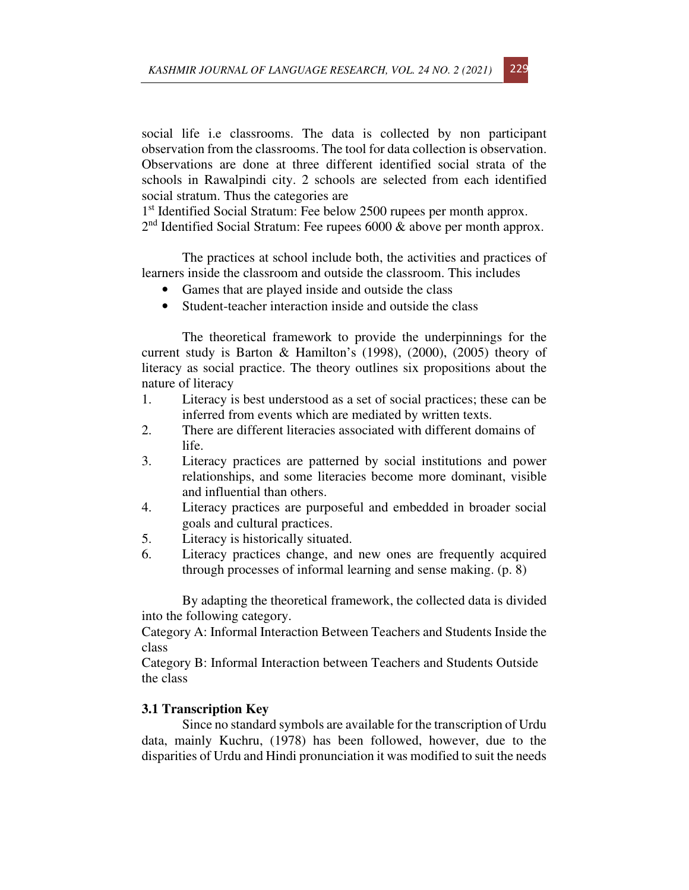social life i.e classrooms. The data is collected by non participant observation from the classrooms. The tool for data collection is observation. Observations are done at three different identified social strata of the schools in Rawalpindi city. 2 schools are selected from each identified social stratum. Thus the categories are

1<sup>st</sup> Identified Social Stratum: Fee below 2500 rupees per month approx. 2<sup>nd</sup> Identified Social Stratum: Fee rupees 6000 & above per month approx.

The practices at school include both, the activities and practices of learners inside the classroom and outside the classroom. This includes

- Games that are played inside and outside the class
- Student-teacher interaction inside and outside the class

The theoretical framework to provide the underpinnings for the current study is Barton & Hamilton's (1998), (2000), (2005) theory of literacy as social practice. The theory outlines six propositions about the nature of literacy

- 1. Literacy is best understood as a set of social practices; these can be inferred from events which are mediated by written texts.
- 2. There are different literacies associated with different domains of life.
- 3. Literacy practices are patterned by social institutions and power relationships, and some literacies become more dominant, visible and influential than others.
- 4. Literacy practices are purposeful and embedded in broader social goals and cultural practices.
- 5. Literacy is historically situated.
- 6. Literacy practices change, and new ones are frequently acquired through processes of informal learning and sense making. (p. 8)

By adapting the theoretical framework, the collected data is divided into the following category.

Category A: Informal Interaction Between Teachers and Students Inside the class

Category B: Informal Interaction between Teachers and Students Outside the class

### **3.1 Transcription Key**

Since no standard symbols are available for the transcription of Urdu data, mainly Kuchru, (1978) has been followed, however, due to the disparities of Urdu and Hindi pronunciation it was modified to suit the needs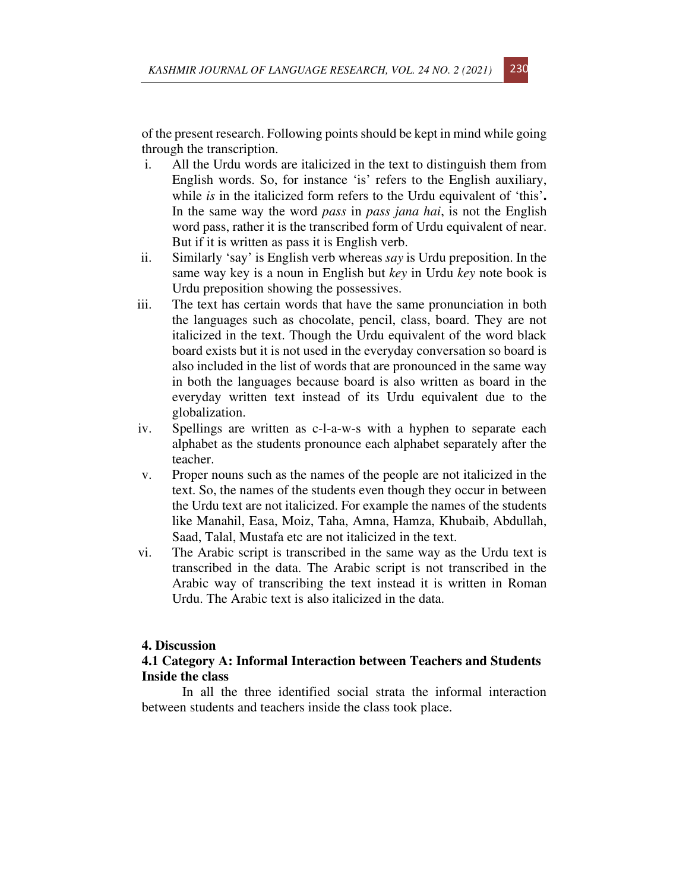of the present research. Following points should be kept in mind while going through the transcription.

- i. All the Urdu words are italicized in the text to distinguish them from English words. So, for instance 'is' refers to the English auxiliary, while *is* in the italicized form refers to the Urdu equivalent of 'this'**.**  In the same way the word *pass* in *pass jana hai*, is not the English word pass, rather it is the transcribed form of Urdu equivalent of near. But if it is written as pass it is English verb.
- ii. Similarly 'say' is English verb whereas *say* is Urdu preposition. In the same way key is a noun in English but *key* in Urdu *key* note book is Urdu preposition showing the possessives.
- iii. The text has certain words that have the same pronunciation in both the languages such as chocolate, pencil, class, board. They are not italicized in the text. Though the Urdu equivalent of the word black board exists but it is not used in the everyday conversation so board is also included in the list of words that are pronounced in the same way in both the languages because board is also written as board in the everyday written text instead of its Urdu equivalent due to the globalization.
- iv. Spellings are written as c-l-a-w-s with a hyphen to separate each alphabet as the students pronounce each alphabet separately after the teacher.
- v. Proper nouns such as the names of the people are not italicized in the text. So, the names of the students even though they occur in between the Urdu text are not italicized. For example the names of the students like Manahil, Easa, Moiz, Taha, Amna, Hamza, Khubaib, Abdullah, Saad, Talal, Mustafa etc are not italicized in the text.
- vi. The Arabic script is transcribed in the same way as the Urdu text is transcribed in the data. The Arabic script is not transcribed in the Arabic way of transcribing the text instead it is written in Roman Urdu. The Arabic text is also italicized in the data.

### **4. Discussion**

# **4.1 Category A: Informal Interaction between Teachers and Students Inside the class**

In all the three identified social strata the informal interaction between students and teachers inside the class took place.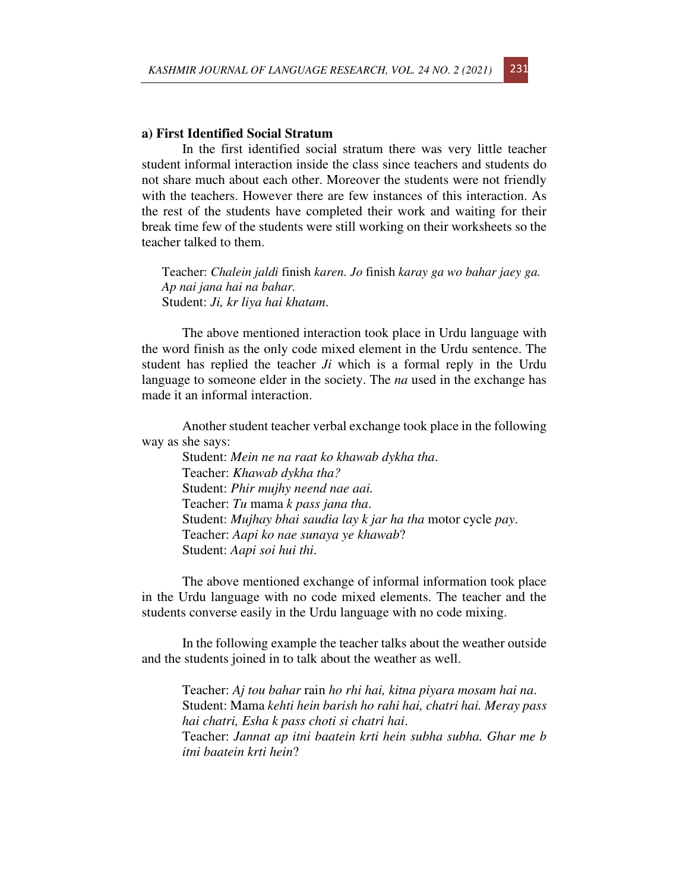#### **a) First Identified Social Stratum**

In the first identified social stratum there was very little teacher student informal interaction inside the class since teachers and students do not share much about each other. Moreover the students were not friendly with the teachers. However there are few instances of this interaction. As the rest of the students have completed their work and waiting for their break time few of the students were still working on their worksheets so the teacher talked to them.

Teacher: *Chalein jaldi* finish *karen. Jo* finish *karay ga wo bahar jaey ga. Ap nai jana hai na bahar.*  Student: *Ji, kr liya hai khatam*.

The above mentioned interaction took place in Urdu language with the word finish as the only code mixed element in the Urdu sentence. The student has replied the teacher *Ji* which is a formal reply in the Urdu language to someone elder in the society. The *na* used in the exchange has made it an informal interaction.

Another student teacher verbal exchange took place in the following way as she says:

Student: *Mein ne na raat ko khawab dykha tha*. Teacher: *Khawab dykha tha?* Student: *Phir mujhy neend nae aai.* Teacher: *Tu* mama *k pass jana tha*. Student: *Mujhay bhai saudia lay k jar ha tha* motor cycle *pay*. Teacher: *Aapi ko nae sunaya ye khawab*? Student: *Aapi soi hui thi*.

The above mentioned exchange of informal information took place in the Urdu language with no code mixed elements. The teacher and the students converse easily in the Urdu language with no code mixing.

In the following example the teacher talks about the weather outside and the students joined in to talk about the weather as well.

Teacher: *Aj tou bahar* rain *ho rhi hai, kitna piyara mosam hai na*. Student: Mama *kehti hein barish ho rahi hai, chatri hai. Meray pass hai chatri, Esha k pass choti si chatri hai*. Teacher: *Jannat ap itni baatein krti hein subha subha. Ghar me b itni baatein krti hein*?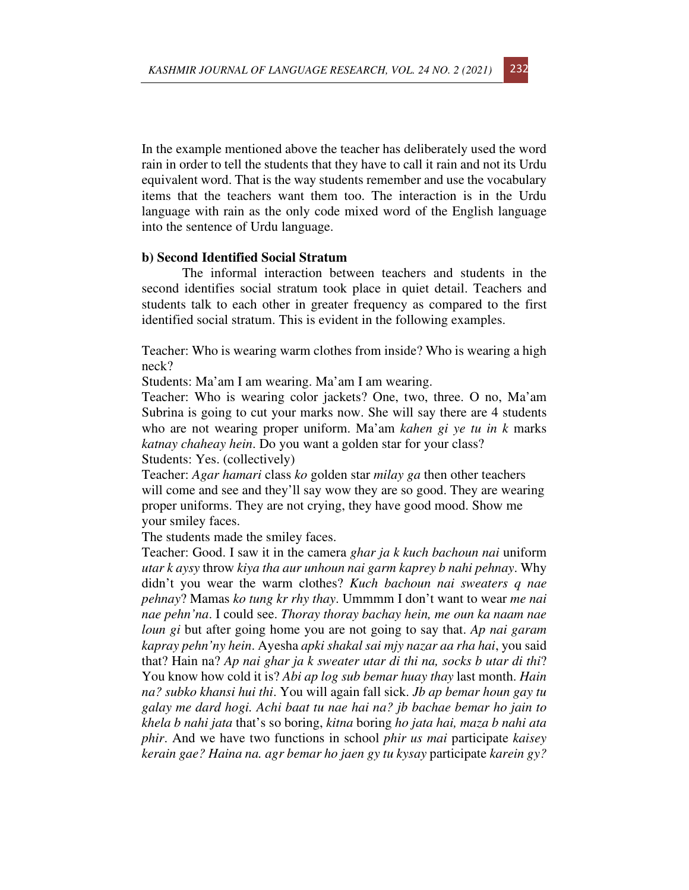In the example mentioned above the teacher has deliberately used the word rain in order to tell the students that they have to call it rain and not its Urdu equivalent word. That is the way students remember and use the vocabulary items that the teachers want them too. The interaction is in the Urdu language with rain as the only code mixed word of the English language into the sentence of Urdu language.

#### **b) Second Identified Social Stratum**

The informal interaction between teachers and students in the second identifies social stratum took place in quiet detail. Teachers and students talk to each other in greater frequency as compared to the first identified social stratum. This is evident in the following examples.

Teacher: Who is wearing warm clothes from inside? Who is wearing a high neck?

Students: Ma'am I am wearing. Ma'am I am wearing.

Teacher: Who is wearing color jackets? One, two, three. O no, Ma'am Subrina is going to cut your marks now. She will say there are 4 students who are not wearing proper uniform. Ma'am *kahen gi ye tu in k* marks *katnay chaheay hein*. Do you want a golden star for your class? Students: Yes. (collectively)

Teacher: *Agar hamari* class *ko* golden star *milay ga* then other teachers will come and see and they'll say wow they are so good. They are wearing proper uniforms. They are not crying, they have good mood. Show me your smiley faces.

The students made the smiley faces.

Teacher: Good. I saw it in the camera *ghar ja k kuch bachoun nai* uniform *utar k aysy* throw *kiya tha aur unhoun nai garm kaprey b nahi pehnay*. Why didn't you wear the warm clothes? *Kuch bachoun nai sweaters q nae pehnay*? Mamas *ko tung kr rhy thay*. Ummmm I don't want to wear *me nai nae pehn'na*. I could see. *Thoray thoray bachay hein, me oun ka naam nae loun gi* but after going home you are not going to say that. *Ap nai garam kapray pehn'ny hein*. Ayesha *apki shakal sai mjy nazar aa rha hai*, you said that? Hain na? *Ap nai ghar ja k sweater utar di thi na, socks b utar di thi*? You know how cold it is? *Abi ap log sub bemar huay thay* last month. *Hain na? subko khansi hui thi*. You will again fall sick. *Jb ap bemar houn gay tu galay me dard hogi. Achi baat tu nae hai na? jb bachae bemar ho jain to khela b nahi jata* that's so boring, *kitna* boring *ho jata hai, maza b nahi ata phir*. And we have two functions in school *phir us mai* participate *kaisey kerain gae? Haina na. agr bemar ho jaen gy tu kysay* participate *karein gy?*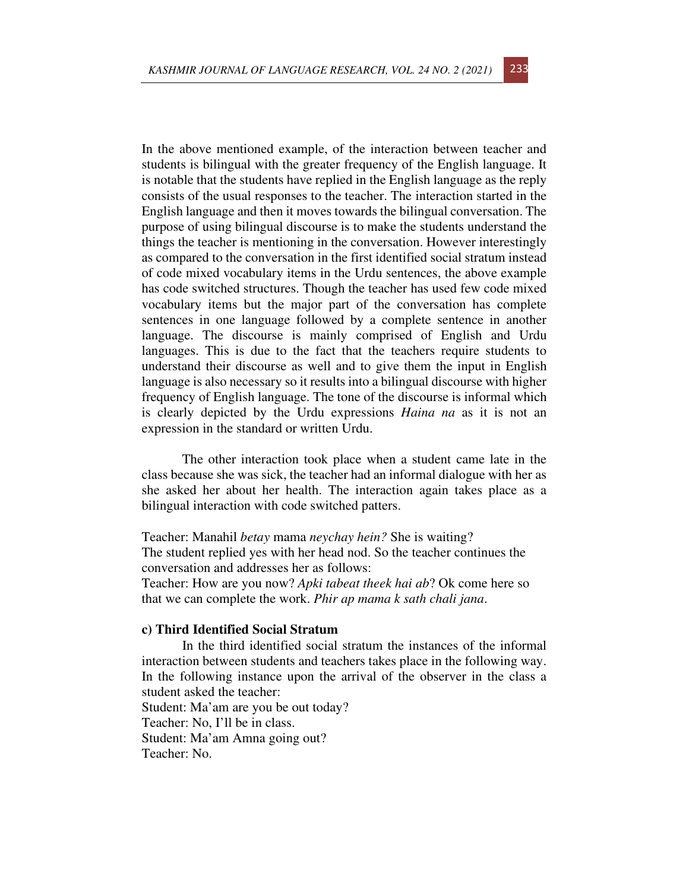In the above mentioned example, of the interaction between teacher and students is bilingual with the greater frequency of the English language. It is notable that the students have replied in the English language as the reply consists of the usual responses to the teacher. The interaction started in the English language and then it moves towards the bilingual conversation. The purpose of using bilingual discourse is to make the students understand the things the teacher is mentioning in the conversation. However interestingly as compared to the conversation in the first identified social stratum instead of code mixed vocabulary items in the Urdu sentences, the above example has code switched structures. Though the teacher has used few code mixed vocabulary items but the major part of the conversation has complete sentences in one language followed by a complete sentence in another language. The discourse is mainly comprised of English and Urdu languages. This is due to the fact that the teachers require students to understand their discourse as well and to give them the input in English language is also necessary so it results into a bilingual discourse with higher frequency of English language. The tone of the discourse is informal which is clearly depicted by the Urdu expressions *Haina na* as it is not an expression in the standard or written Urdu.

The other interaction took place when a student came late in the class because she was sick, the teacher had an informal dialogue with her as she asked her about her health. The interaction again takes place as a bilingual interaction with code switched patters.

Teacher: Manahil *betay* mama *neychay hein?* She is waiting? The student replied yes with her head nod. So the teacher continues the conversation and addresses her as follows: Teacher: How are you now? *Apki tabeat theek hai ab*? Ok come here so that we can complete the work. *Phir ap mama k sath chali jana*.

### **c) Third Identified Social Stratum**

In the third identified social stratum the instances of the informal interaction between students and teachers takes place in the following way. In the following instance upon the arrival of the observer in the class a student asked the teacher: Student: Ma'am are you be out today? Teacher: No, I'll be in class. Student: Ma'am Amna going out? Teacher: No.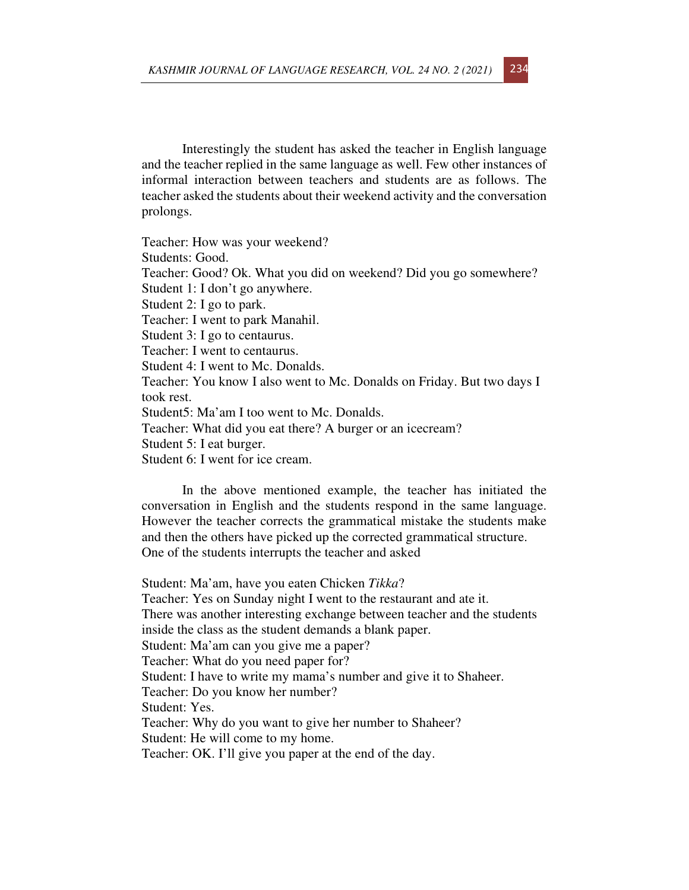Interestingly the student has asked the teacher in English language and the teacher replied in the same language as well. Few other instances of informal interaction between teachers and students are as follows. The teacher asked the students about their weekend activity and the conversation prolongs.

Teacher: How was your weekend? Students: Good. Teacher: Good? Ok. What you did on weekend? Did you go somewhere? Student 1: I don't go anywhere. Student 2: I go to park. Teacher: I went to park Manahil. Student 3: I go to centaurus. Teacher: I went to centaurus. Student 4: I went to Mc. Donalds. Teacher: You know I also went to Mc. Donalds on Friday. But two days I took rest. Student5: Ma'am I too went to Mc. Donalds. Teacher: What did you eat there? A burger or an icecream? Student 5: I eat burger. Student 6: I went for ice cream.

In the above mentioned example, the teacher has initiated the conversation in English and the students respond in the same language. However the teacher corrects the grammatical mistake the students make and then the others have picked up the corrected grammatical structure. One of the students interrupts the teacher and asked

Student: Ma'am, have you eaten Chicken *Tikka*? Teacher: Yes on Sunday night I went to the restaurant and ate it. There was another interesting exchange between teacher and the students inside the class as the student demands a blank paper. Student: Ma'am can you give me a paper? Teacher: What do you need paper for? Student: I have to write my mama's number and give it to Shaheer. Teacher: Do you know her number? Student: Yes. Teacher: Why do you want to give her number to Shaheer? Student: He will come to my home. Teacher: OK. I'll give you paper at the end of the day.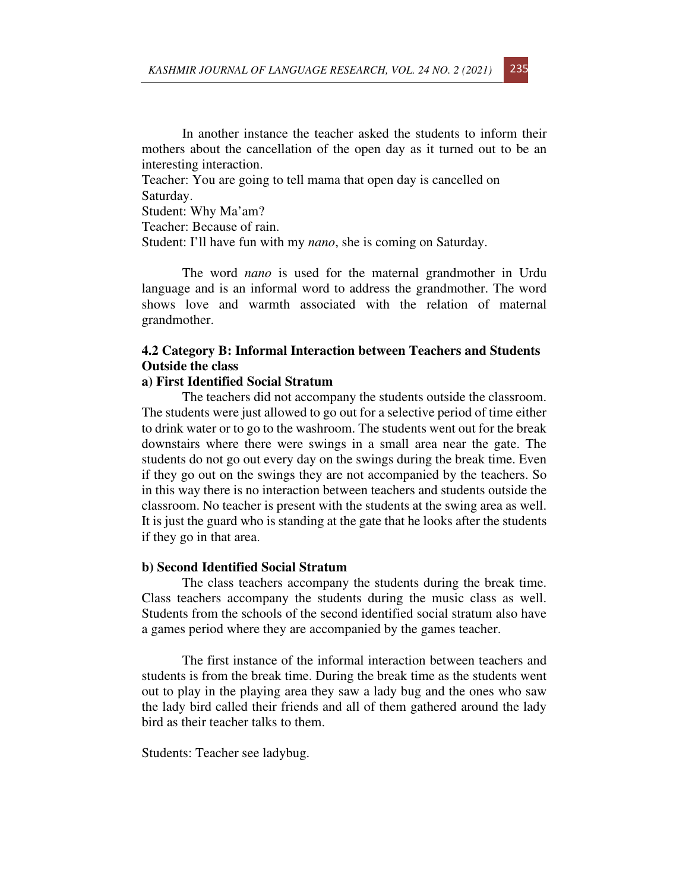In another instance the teacher asked the students to inform their mothers about the cancellation of the open day as it turned out to be an interesting interaction.

Teacher: You are going to tell mama that open day is cancelled on Saturday.

Student: Why Ma'am?

Teacher: Because of rain.

Student: I'll have fun with my *nano*, she is coming on Saturday.

The word *nano* is used for the maternal grandmother in Urdu language and is an informal word to address the grandmother. The word shows love and warmth associated with the relation of maternal grandmother.

## **4.2 Category B: Informal Interaction between Teachers and Students Outside the class**

### **a) First Identified Social Stratum**

The teachers did not accompany the students outside the classroom. The students were just allowed to go out for a selective period of time either to drink water or to go to the washroom. The students went out for the break downstairs where there were swings in a small area near the gate. The students do not go out every day on the swings during the break time. Even if they go out on the swings they are not accompanied by the teachers. So in this way there is no interaction between teachers and students outside the classroom. No teacher is present with the students at the swing area as well. It is just the guard who is standing at the gate that he looks after the students if they go in that area.

#### **b) Second Identified Social Stratum**

The class teachers accompany the students during the break time. Class teachers accompany the students during the music class as well. Students from the schools of the second identified social stratum also have a games period where they are accompanied by the games teacher.

The first instance of the informal interaction between teachers and students is from the break time. During the break time as the students went out to play in the playing area they saw a lady bug and the ones who saw the lady bird called their friends and all of them gathered around the lady bird as their teacher talks to them.

Students: Teacher see ladybug.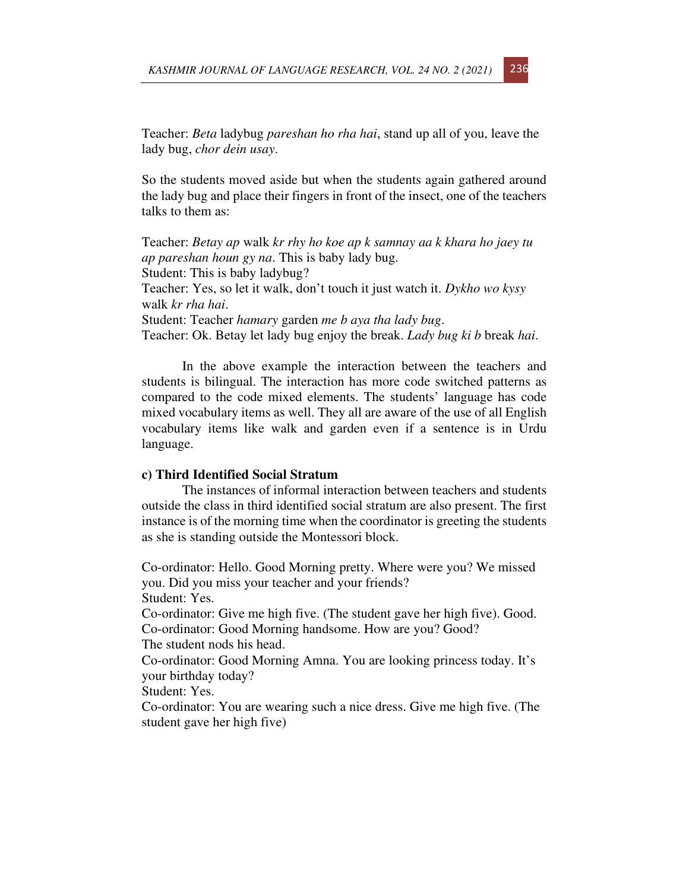Teacher: *Beta* ladybug *pareshan ho rha hai*, stand up all of you, leave the lady bug, *chor dein usay*.

So the students moved aside but when the students again gathered around the lady bug and place their fingers in front of the insect, one of the teachers talks to them as:

Teacher: *Betay ap* walk *kr rhy ho koe ap k samnay aa k khara ho jaey tu ap pareshan houn gy na*. This is baby lady bug. Student: This is baby ladybug? Teacher: Yes, so let it walk, don't touch it just watch it. *Dykho wo kysy*  walk *kr rha hai*. Student: Teacher *hamary* garden *me b aya tha lady bug*. Teacher: Ok. Betay let lady bug enjoy the break. *Lady bug ki b* break *hai*.

In the above example the interaction between the teachers and students is bilingual. The interaction has more code switched patterns as compared to the code mixed elements. The students' language has code mixed vocabulary items as well. They all are aware of the use of all English vocabulary items like walk and garden even if a sentence is in Urdu language.

#### **c) Third Identified Social Stratum**

The instances of informal interaction between teachers and students outside the class in third identified social stratum are also present. The first instance is of the morning time when the coordinator is greeting the students as she is standing outside the Montessori block.

Co-ordinator: Hello. Good Morning pretty. Where were you? We missed you. Did you miss your teacher and your friends?

Student: Yes.

Co-ordinator: Give me high five. (The student gave her high five). Good. Co-ordinator: Good Morning handsome. How are you? Good?

The student nods his head.

Co-ordinator: Good Morning Amna. You are looking princess today. It's your birthday today?

Student: Yes.

Co-ordinator: You are wearing such a nice dress. Give me high five. (The student gave her high five)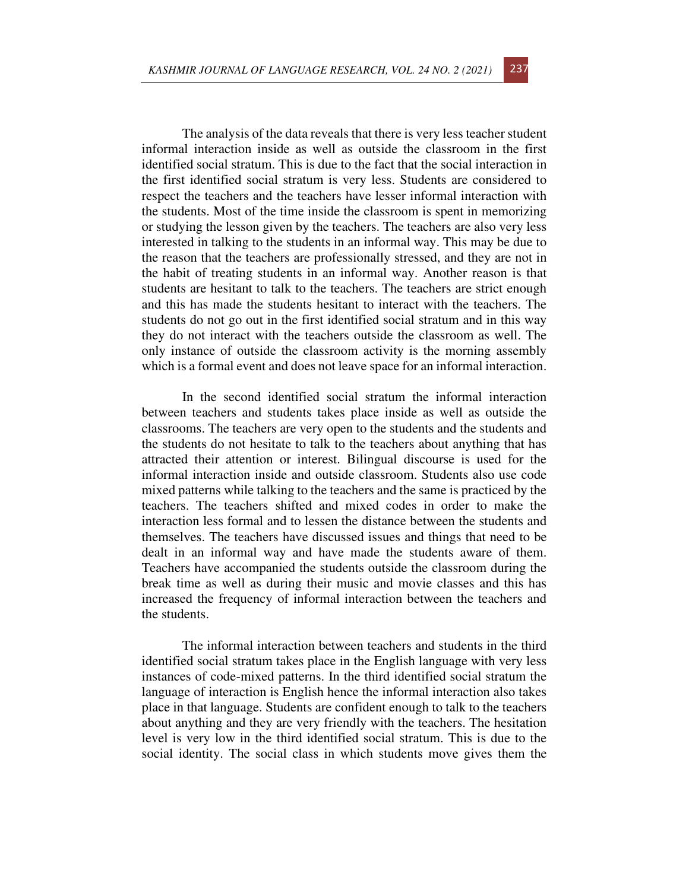The analysis of the data reveals that there is very less teacher student informal interaction inside as well as outside the classroom in the first identified social stratum. This is due to the fact that the social interaction in the first identified social stratum is very less. Students are considered to respect the teachers and the teachers have lesser informal interaction with the students. Most of the time inside the classroom is spent in memorizing or studying the lesson given by the teachers. The teachers are also very less interested in talking to the students in an informal way. This may be due to the reason that the teachers are professionally stressed, and they are not in the habit of treating students in an informal way. Another reason is that students are hesitant to talk to the teachers. The teachers are strict enough and this has made the students hesitant to interact with the teachers. The students do not go out in the first identified social stratum and in this way they do not interact with the teachers outside the classroom as well. The only instance of outside the classroom activity is the morning assembly which is a formal event and does not leave space for an informal interaction.

In the second identified social stratum the informal interaction between teachers and students takes place inside as well as outside the classrooms. The teachers are very open to the students and the students and the students do not hesitate to talk to the teachers about anything that has attracted their attention or interest. Bilingual discourse is used for the informal interaction inside and outside classroom. Students also use code mixed patterns while talking to the teachers and the same is practiced by the teachers. The teachers shifted and mixed codes in order to make the interaction less formal and to lessen the distance between the students and themselves. The teachers have discussed issues and things that need to be dealt in an informal way and have made the students aware of them. Teachers have accompanied the students outside the classroom during the break time as well as during their music and movie classes and this has increased the frequency of informal interaction between the teachers and the students.

The informal interaction between teachers and students in the third identified social stratum takes place in the English language with very less instances of code-mixed patterns. In the third identified social stratum the language of interaction is English hence the informal interaction also takes place in that language. Students are confident enough to talk to the teachers about anything and they are very friendly with the teachers. The hesitation level is very low in the third identified social stratum. This is due to the social identity. The social class in which students move gives them the